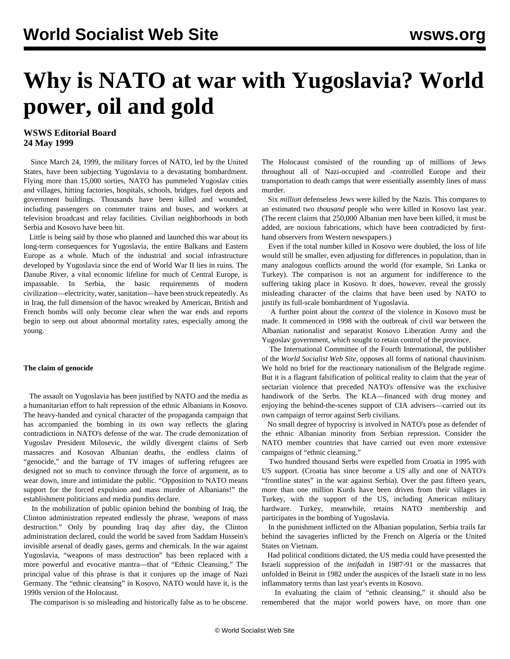# **Why is NATO at war with Yugoslavia? World power, oil and gold**

### **WSWS Editorial Board 24 May 1999**

 Since March 24, 1999, the military forces of NATO, led by the United States, have been subjecting Yugoslavia to a devastating bombardment. Flying more than 15,000 sorties, NATO has pummeled Yugoslav cities and villages, hitting factories, hospitals, schools, bridges, fuel depots and government buildings. Thousands have been killed and wounded, including passengers on commuter trains and buses, and workers at television broadcast and relay facilities. Civilian neighborhoods in both Serbia and Kosovo have been hit.

 Little is being said by those who planned and launched this war about its long-term consequences for Yugoslavia, the entire Balkans and Eastern Europe as a whole. Much of the industrial and social infrastructure developed by Yugoslavia since the end of World War II lies in ruins. The Danube River, a vital economic lifeline for much of Central Europe, is impassable. In Serbia, the basic requirements of modern civilization—electricity, water, sanitation—have been struck repeatedly. As in Iraq, the full dimension of the havoc wreaked by American, British and French bombs will only become clear when the war ends and reports begin to seep out about abnormal mortality rates, especially among the young.

#### **The claim of genocide**

 The assault on Yugoslavia has been justified by NATO and the media as a humanitarian effort to halt repression of the ethnic Albanians in Kosovo. The heavy-handed and cynical character of the propaganda campaign that has accompanied the bombing in its own way reflects the glaring contradictions in NATO's defense of the war. The crude demonization of Yugoslav President Milosevic, the wildly divergent claims of Serb massacres and Kosovan Albanian deaths, the endless claims of "genocide," and the barrage of TV images of suffering refugees are designed not so much to convince through the force of argument, as to wear down, inure and intimidate the public. "Opposition to NATO means support for the forced expulsion and mass murder of Albanians!" the establishment politicians and media pundits declare.

 In the mobilization of public opinion behind the bombing of Iraq, the Clinton administration repeated endlessly the phrase, 'weapons of mass destruction." Only by pounding Iraq day after day, the Clinton administration declared, could the world be saved from Saddam Hussein's invisible arsenal of deadly gases, germs and chemicals. In the war against Yugoslavia, "weapons of mass destruction" has been replaced with a more powerful and evocative mantra—that of "Ethnic Cleansing." The principal value of this phrase is that it conjures up the image of Nazi Germany. The "ethnic cleansing" in Kosovo, NATO would have it, is the 1990s version of the Holocaust.

The comparison is so misleading and historically false as to be obscene.

The Holocaust consisted of the rounding up of millions of Jews throughout all of Nazi-occupied and -controlled Europe and their transportation to death camps that were essentially assembly lines of mass murder.

 Six *million* defenseless Jews were killed by the Nazis. This compares to an estimated two *thousand* people who were killed in Kosovo last year. (The recent claims that 250,000 Albanian men have been killed, it must be added, are noxious fabrications, which have been contradicted by firsthand observers from Western newspapers.)

 Even if the total number killed in Kosovo were doubled, the loss of life would still be smaller, even adjusting for differences in population, than in many analogous conflicts around the world (for example, Sri Lanka or Turkey). The comparison is not an argument for indifference to the suffering taking place in Kosovo. It does, however, reveal the grossly misleading character of the claims that have been used by NATO to justify its full-scale bombardment of Yugoslavia.

 A further point about the *context* of the violence in Kosovo must be made. It commenced in 1998 with the outbreak of civil war between the Albanian nationalist and separatist Kosovo Liberation Army and the Yugoslav government, which sought to retain control of the province.

 The International Committee of the Fourth International, the publisher of the *World Socialist Web Site*, opposes all forms of national chauvinism. We hold no brief for the reactionary nationalism of the Belgrade regime. But it is a flagrant falsification of political reality to claim that the year of sectarian violence that preceded NATO's offensive was the exclusive handiwork of the Serbs. The KLA—financed with drug money and enjoying the behind-the-scenes support of CIA advisers—carried out its own campaign of terror against Serb civilians.

 No small degree of hypocrisy is involved in NATO's pose as defender of the ethnic Albanian minority from Serbian repression. Consider the NATO member countries that have carried out even more extensive campaigns of "ethnic cleansing."

 Two hundred thousand Serbs were expelled from Croatia in 1995 with US support. (Croatia has since become a US ally and one of NATO's "frontline states" in the war against Serbia). Over the past fifteen years, more than one million Kurds have been driven from their villages in Turkey, with the support of the US, including American military hardware. Turkey, meanwhile, retains NATO membership and participates in the bombing of Yugoslavia.

 In the punishment inflicted on the Albanian population, Serbia trails far behind the savageries inflicted by the French on Algeria or the United States on Vietnam.

 Had political conditions dictated, the US media could have presented the Israeli suppression of the *intifadah* in 1987-91 or the massacres that unfolded in Beirut in 1982 under the auspices of the Israeli state in no less inflammatory terms than last year's events in Kosovo.

 In evaluating the claim of "ethnic cleansing," it should also be remembered that the major world powers have, on more than one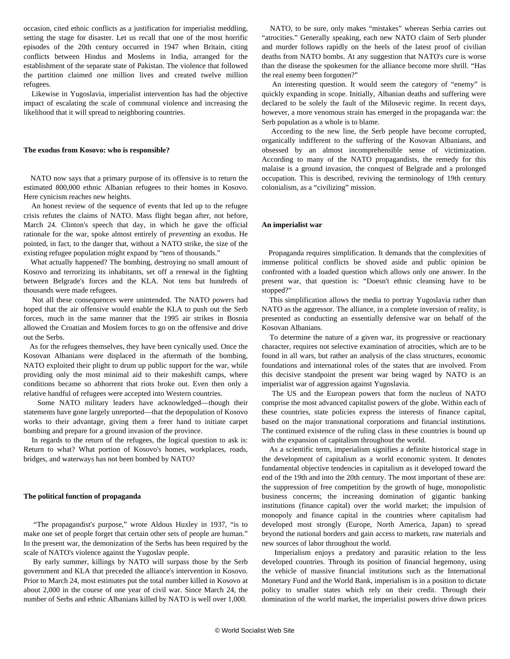occasion, cited ethnic conflicts as a justification for imperialist meddling, setting the stage for disaster. Let us recall that one of the most horrific episodes of the 20th century occurred in 1947 when Britain, citing conflicts between Hindus and Moslems in India, arranged for the establishment of the separate state of Pakistan. The violence that followed the partition claimed one million lives and created twelve million refugees.

 Likewise in Yugoslavia, imperialist intervention has had the objective impact of escalating the scale of communal violence and increasing the likelihood that it will spread to neighboring countries.

#### **The exodus from Kosovo: who is responsible?**

 NATO now says that a primary purpose of its offensive is to return the estimated 800,000 ethnic Albanian refugees to their homes in Kosovo. Here cynicism reaches new heights.

 An honest review of the sequence of events that led up to the refugee crisis refutes the claims of NATO. Mass flight began after, not before, March 24. Clinton's speech that day, in which he gave the official rationale for the war, spoke almost entirely of *preventing* an exodus. He pointed, in fact, to the danger that, without a NATO strike, the size of the existing refugee population might expand by "tens of thousands."

 What actually happened? The bombing, destroying no small amount of Kosovo and terrorizing its inhabitants, set off a renewal in the fighting between Belgrade's forces and the KLA. Not tens but hundreds of thousands were made refugees.

 Not all these consequences were unintended. The NATO powers had hoped that the air offensive would enable the KLA to push out the Serb forces, much in the same manner that the 1995 air strikes in Bosnia allowed the Croatian and Moslem forces to go on the offensive and drive out the Serbs.

 As for the refugees themselves, they have been cynically used. Once the Kosovan Albanians were displaced in the aftermath of the bombing, NATO exploited their plight to drum up public support for the war, while providing only the most minimal aid to their makeshift camps, where conditions became so abhorrent that riots broke out. Even then only a relative handful of refugees were accepted into Western countries.

 Some NATO military leaders have acknowledged—though their statements have gone largely unreported—that the depopulation of Kosovo works to their advantage, giving them a freer hand to initiate carpet bombing and prepare for a ground invasion of the province.

 In regards to the return of the refugees, the logical question to ask is: Return to what? What portion of Kosovo's homes, workplaces, roads, bridges, and waterways has not been bombed by NATO?

#### **The political function of propaganda**

 "The propagandist's purpose," wrote Aldous Huxley in 1937, "is to make one set of people forget that certain other sets of people are human." In the present war, the demonization of the Serbs has been required by the scale of NATO's violence against the Yugoslav people.

 By early summer, killings by NATO will surpass those by the Serb government and KLA that preceded the alliance's intervention in Kosovo. Prior to March 24, most estimates put the total number killed in Kosovo at about 2,000 in the course of one year of civil war. Since March 24, the number of Serbs and ethnic Albanians killed by NATO is well over 1,000.

 NATO, to be sure, only makes "mistakes" whereas Serbia carries out "atrocities." Generally speaking, each new NATO claim of Serb plunder and murder follows rapidly on the heels of the latest proof of civilian deaths from NATO bombs. At any suggestion that NATO's cure is worse than the disease the spokesmen for the alliance become more shrill. "Has the real enemy been forgotten?"

 An interesting question. It would seem the category of "enemy" is quickly expanding in scope. Initially, Albanian deaths and suffering were declared to be solely the fault of the Milosevic regime. In recent days, however, a more venomous strain has emerged in the propaganda war: the Serb population as a whole is to blame.

 According to the new line, the Serb people have become corrupted, organically indifferent to the suffering of the Kosovan Albanians, and obsessed by an almost incomprehensible sense of victimization. According to many of the NATO propagandists, the remedy for this malaise is a ground invasion, the conquest of Belgrade and a prolonged occupation. This is described, reviving the terminology of 19th century colonialism, as a "civilizing" mission.

#### **An imperialist war**

 Propaganda requires simplification. It demands that the complexities of immense political conflicts be shoved aside and public opinion be confronted with a loaded question which allows only one answer. In the present war, that question is: "Doesn't ethnic cleansing have to be stopped?"

 This simplification allows the media to portray Yugoslavia rather than NATO as the aggressor. The alliance, in a complete inversion of reality, is presented as conducting an essentially defensive war on behalf of the Kosovan Albanians.

 To determine the nature of a given war, its progressive or reactionary character, requires not selective examination of atrocities, which are to be found in all wars, but rather an analysis of the class structures, economic foundations and international roles of the states that are involved. From this decisive standpoint the present war being waged by NATO is an imperialist war of aggression against Yugoslavia.

 The US and the European powers that form the nucleus of NATO comprise the most advanced capitalist powers of the globe. Within each of these countries, state policies express the interests of finance capital, based on the major transnational corporations and financial institutions. The continued existence of the ruling class in these countries is bound up with the expansion of capitalism throughout the world.

 As a scientific term, imperialism signifies a definite historical stage in the development of capitalism as a world economic system. It denotes fundamental objective tendencies in capitalism as it developed toward the end of the 19th and into the 20th century. The most important of these are: the suppression of free competition by the growth of huge, monopolistic business concerns; the increasing domination of gigantic banking institutions (finance capital) over the world market; the impulsion of monopoly and finance capital in the countries where capitalism had developed most strongly (Europe, North America, Japan) to spread beyond the national borders and gain access to markets, raw materials and new sources of labor throughout the world.

 Imperialism enjoys a predatory and parasitic relation to the less developed countries. Through its position of financial hegemony, using the vehicle of massive financial institutions such as the International Monetary Fund and the World Bank, imperialism is in a position to dictate policy to smaller states which rely on their credit. Through their domination of the world market, the imperialist powers drive down prices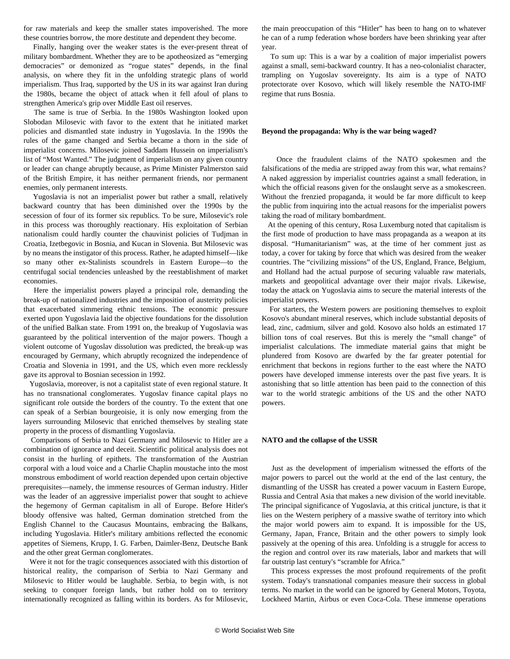for raw materials and keep the smaller states impoverished. The more these countries borrow, the more destitute and dependent they become.

 Finally, hanging over the weaker states is the ever-present threat of military bombardment. Whether they are to be apotheosized as "emerging democracies" or demonized as "rogue states" depends, in the final analysis, on where they fit in the unfolding strategic plans of world imperialism. Thus Iraq, supported by the US in its war against Iran during the 1980s, became the object of attack when it fell afoul of plans to strengthen America's grip over Middle East oil reserves.

 The same is true of Serbia. In the 1980s Washington looked upon Slobodan Milosevic with favor to the extent that he initiated market policies and dismantled state industry in Yugoslavia. In the 1990s the rules of the game changed and Serbia became a thorn in the side of imperialist concerns. Milosevic joined Saddam Hussein on imperialism's list of "Most Wanted." The judgment of imperialism on any given country or leader can change abruptly because, as Prime Minister Palmerston said of the British Empire, it has neither permanent friends, nor permanent enemies, only permanent interests.

 Yugoslavia is not an imperialist power but rather a small, relatively backward country that has been diminished over the 1990s by the secession of four of its former six republics. To be sure, Milosevic's role in this process was thoroughly reactionary. His exploitation of Serbian nationalism could hardly counter the chauvinist policies of Tudjman in Croatia, Izetbegovic in Bosnia, and Kucan in Slovenia. But Milosevic was by no means the instigator of this process. Rather, he adapted himself—like so many other ex-Stalinists scoundrels in Eastern Europe—to the centrifugal social tendencies unleashed by the reestablishment of market economies.

 Here the imperialist powers played a principal role, demanding the break-up of nationalized industries and the imposition of austerity policies that exacerbated simmering ethnic tensions. The economic pressure exerted upon Yugoslavia laid the objective foundations for the dissolution of the unified Balkan state. From 1991 on, the breakup of Yugoslavia was guaranteed by the political intervention of the major powers. Though a violent outcome of Yugoslav dissolution was predicted, the break-up was encouraged by Germany, which abruptly recognized the independence of Croatia and Slovenia in 1991, and the US, which even more recklessly gave its approval to Bosnian secession in 1992.

 Yugoslavia, moreover, is not a capitalist state of even regional stature. It has no transnational conglomerates. Yugoslav finance capital plays no significant role outside the borders of the country. To the extent that one can speak of a Serbian bourgeoisie, it is only now emerging from the layers surrounding Milosevic that enriched themselves by stealing state property in the process of dismantling Yugoslavia.

 Comparisons of Serbia to Nazi Germany and Milosevic to Hitler are a combination of ignorance and deceit. Scientific political analysis does not consist in the hurling of epithets. The transformation of the Austrian corporal with a loud voice and a Charlie Chaplin moustache into the most monstrous embodiment of world reaction depended upon certain objective prerequisites—namely, the immense resources of German industry. Hitler was the leader of an aggressive imperialist power that sought to achieve the hegemony of German capitalism in all of Europe. Before Hitler's bloody offensive was halted, German domination stretched from the English Channel to the Caucasus Mountains, embracing the Balkans, including Yugoslavia. Hitler's military ambitions reflected the economic appetites of Siemens, Krupp, I. G. Farben, Daimler-Benz, Deutsche Bank and the other great German conglomerates.

 Were it not for the tragic consequences associated with this distortion of historical reality, the comparison of Serbia to Nazi Germany and Milosevic to Hitler would be laughable. Serbia, to begin with, is not seeking to conquer foreign lands, but rather hold on to territory internationally recognized as falling within its borders. As for Milosevic, the main preoccupation of this "Hitler" has been to hang on to whatever he can of a rump federation whose borders have been shrinking year after year.

 To sum up: This is a war by a coalition of major imperialist powers against a small, semi-backward country. It has a neo-colonialist character, trampling on Yugoslav sovereignty. Its aim is a type of NATO protectorate over Kosovo, which will likely resemble the NATO-IMF regime that runs Bosnia.

#### **Beyond the propaganda: Why is the war being waged?**

 Once the fraudulent claims of the NATO spokesmen and the falsifications of the media are stripped away from this war, what remains? A naked aggression by imperialist countries against a small federation, in which the official reasons given for the onslaught serve as a smokescreen. Without the frenzied propaganda, it would be far more difficult to keep the public from inquiring into the actual reasons for the imperialist powers taking the road of military bombardment.

 At the opening of this century, Rosa Luxemburg noted that capitalism is the first mode of production to have mass propaganda as a weapon at its disposal. "Humanitarianism" was, at the time of her comment just as today, a cover for taking by force that which was desired from the weaker countries. The "civilizing missions" of the US, England, France, Belgium, and Holland had the actual purpose of securing valuable raw materials, markets and geopolitical advantage over their major rivals. Likewise, today the attack on Yugoslavia aims to secure the material interests of the imperialist powers.

 For starters, the Western powers are positioning themselves to exploit Kosovo's abundant mineral reserves, which include substantial deposits of lead, zinc, cadmium, silver and gold. Kosovo also holds an estimated 17 billion tons of coal reserves. But this is merely the "small change" of imperialist calculations. The immediate material gains that might be plundered from Kosovo are dwarfed by the far greater potential for enrichment that beckons in regions further to the east where the NATO powers have developed immense interests over the past five years. It is astonishing that so little attention has been paid to the connection of this war to the world strategic ambitions of the US and the other NATO powers.

#### **NATO and the collapse of the USSR**

 Just as the development of imperialism witnessed the efforts of the major powers to parcel out the world at the end of the last century, the dismantling of the USSR has created a power vacuum in Eastern Europe, Russia and Central Asia that makes a new division of the world inevitable. The principal significance of Yugoslavia, at this critical juncture, is that it lies on the Western periphery of a massive swathe of territory into which the major world powers aim to expand. It is impossible for the US, Germany, Japan, France, Britain and the other powers to simply look passively at the opening of this area. Unfolding is a struggle for access to the region and control over its raw materials, labor and markets that will far outstrip last century's "scramble for Africa."

 This process expresses the most profound requirements of the profit system. Today's transnational companies measure their success in global terms. No market in the world can be ignored by General Motors, Toyota, Lockheed Martin, Airbus or even Coca-Cola. These immense operations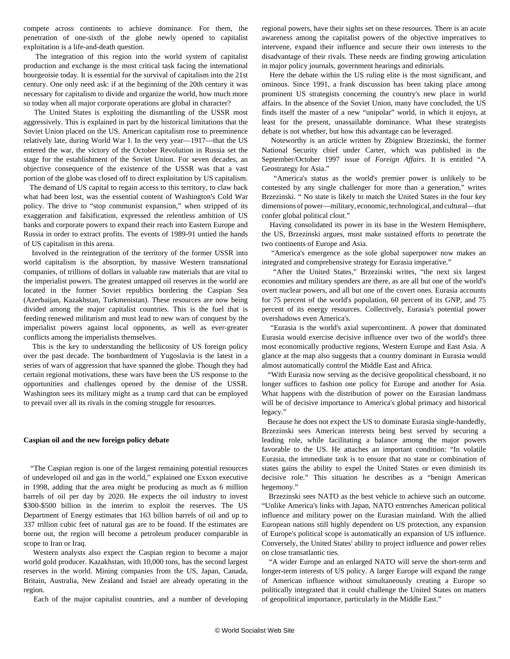compete across continents to achieve dominance. For them, the penetration of one-sixth of the globe newly opened to capitalist exploitation is a life-and-death question.

 The integration of this region into the world system of capitalist production and exchange is the most critical task facing the international bourgeoisie today. It is essential for the survival of capitalism into the 21st century. One only need ask: if at the beginning of the 20th century it was necessary for capitalism to divide and organize the world, how much more so today when all major corporate operations are global in character?

 The United States is exploiting the dismantling of the USSR most aggressively. This is explained in part by the historical limitations that the Soviet Union placed on the US. American capitalism rose to preeminence relatively late, during World War I. In the very year—1917—that the US entered the war, the victory of the October Revolution in Russia set the stage for the establishment of the Soviet Union. For seven decades, an objective consequence of the existence of the USSR was that a vast portion of the globe was closed off to direct exploitation by US capitalism.

 The demand of US capital to regain access to this territory, to claw back what had been lost, was the essential content of Washington's Cold War policy. The drive to "stop communist expansion," when stripped of its exaggeration and falsification, expressed the relentless ambition of US banks and corporate powers to expand their reach into Eastern Europe and Russia in order to extract profits. The events of 1989-91 untied the hands of US capitalism in this arena.

 Involved in the reintegration of the territory of the former USSR into world capitalism is the absorption, by massive Western transnational companies, of trillions of dollars in valuable raw materials that are vital to the imperialist powers. The greatest untapped oil reserves in the world are located in the former Soviet republics bordering the Caspian Sea (Azerbaijan, Kazakhstan, Turkmenistan). These resources are now being divided among the major capitalist countries. This is the fuel that is feeding renewed militarism and must lead to new wars of conquest by the imperialist powers against local opponents, as well as ever-greater conflicts among the imperialists themselves.

 This is the key to understanding the bellicosity of US foreign policy over the past decade. The bombardment of Yugoslavia is the latest in a series of wars of aggression that have spanned the globe. Though they had certain regional motivations, these wars have been the US response to the opportunities and challenges opened by the demise of the USSR. Washington sees its military might as a trump card that can be employed to prevail over all its rivals in the coming struggle for resources.

#### **Caspian oil and the new foreign policy debate**

 "The Caspian region is one of the largest remaining potential resources of undeveloped oil and gas in the world," explained one Exxon executive in 1998, adding that the area might be producing as much as 6 million barrels of oil per day by 2020. He expects the oil industry to invest \$300-\$500 billion in the interim to exploit the reserves. The US Department of Energy estimates that 163 billion barrels of oil and up to 337 trillion cubic feet of natural gas are to be found. If the estimates are borne out, the region will become a petroleum producer comparable in scope to Iran or Iraq.

 Western analysts also expect the Caspian region to become a major world gold producer. Kazakhstan, with 10,000 tons, has the second largest reserves in the world. Mining companies from the US, Japan, Canada, Britain, Australia, New Zealand and Israel are already operating in the region.

Each of the major capitalist countries, and a number of developing

regional powers, have their sights set on these resources. There is an acute awareness among the capitalist powers of the objective imperatives to intervene, expand their influence and secure their own interests to the disadvantage of their rivals. These needs are finding growing articulation in major policy journals, government hearings and editorials.

 Here the debate within the US ruling elite is the most significant, and ominous. Since 1991, a frank discussion has been taking place among prominent US strategists concerning the country's new place in world affairs. In the absence of the Soviet Union, many have concluded, the US finds itself the master of a new "unipolar" world, in which it enjoys, at least for the present, unassailable dominance. What these strategists debate is not whether, but how this advantage can be leveraged.

 Noteworthy is an article written by Zbigniew Brzezinski, the former National Security chief under Carter, which was published in the September/October 1997 issue of *Foreign Affairs*. It is entitled "A Geostrategy for Asia."

 "America's status as the world's premier power is unlikely to be contested by any single challenger for more than a generation," writes Brzezinski. " No state is likely to match the United States in the four key dimensions of power—military, economic, technological, and cultural—that confer global political clout."

 Having consolidated its power in its base in the Western Hemisphere, the US, Brzezinski argues, must make sustained efforts to penetrate the two continents of Europe and Asia.

 "America's emergence as the sole global superpower now makes an integrated and comprehensive strategy for Eurasia imperative."

 "After the United States," Brzezinski writes, "the next six largest economies and military spenders are there, as are all but one of the world's overt nuclear powers, and all but one of the covert ones. Eurasia accounts for 75 percent of the world's population, 60 percent of its GNP, and 75 percent of its energy resources. Collectively, Eurasia's potential power overshadows even America's.

 "Eurasia is the world's axial supercontinent. A power that dominated Eurasia would exercise decisive influence over two of the world's three most economically productive regions, Western Europe and East Asia. A glance at the map also suggests that a country dominant in Eurasia would almost automatically control the Middle East and Africa.

 "With Eurasia now serving as the decisive geopolitical chessboard, it no longer suffices to fashion one policy for Europe and another for Asia. What happens with the distribution of power on the Eurasian landmass will be of decisive importance to America's global primacy and historical legacy."

 Because he does not expect the US to dominate Eurasia single-handedly, Brzezinski sees American interests being best served by securing a leading role, while facilitating a balance among the major powers favorable to the US. He attaches an important condition: "In volatile Eurasia, the immediate task is to ensure that no state or combination of states gains the ability to expel the United States or even diminish its decisive role." This situation he describes as a "benign American hegemony."

 Brzezinski sees NATO as the best vehicle to achieve such an outcome. "Unlike America's links with Japan, NATO entrenches American political influence and military power on the Eurasian mainland. With the allied European nations still highly dependent on US protection, any expansion of Europe's political scope is automatically an expansion of US influence. Conversely, the United States' ability to project influence and power relies on close transatlantic ties.

 "A wider Europe and an enlarged NATO will serve the short-term and longer-term interests of US policy. A larger Europe will expand the range of American influence without simultaneously creating a Europe so politically integrated that it could challenge the United States on matters of geopolitical importance, particularly in the Middle East."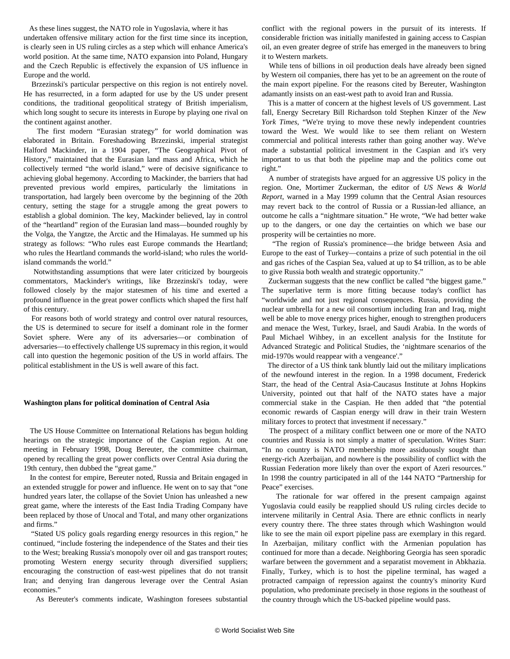As these lines suggest, the NATO role in Yugoslavia, where it has undertaken offensive military action for the first time since its inception, is clearly seen in US ruling circles as a step which will enhance America's world position. At the same time, NATO expansion into Poland, Hungary and the Czech Republic is effectively the expansion of US influence in Europe and the world.

 Brzezinski's particular perspective on this region is not entirely novel. He has resurrected, in a form adapted for use by the US under present conditions, the traditional geopolitical strategy of British imperialism, which long sought to secure its interests in Europe by playing one rival on the continent against another.

 The first modern "Eurasian strategy" for world domination was elaborated in Britain. Foreshadowing Brzezinski, imperial strategist Halford Mackinder, in a 1904 paper, "The Geographical Pivot of History," maintained that the Eurasian land mass and Africa, which he collectively termed "the world island," were of decisive significance to achieving global hegemony. According to Mackinder, the barriers that had prevented previous world empires, particularly the limitations in transportation, had largely been overcome by the beginning of the 20th century, setting the stage for a struggle among the great powers to establish a global dominion. The key, Mackinder believed, lay in control of the "heartland" region of the Eurasian land mass—bounded roughly by the Volga, the Yangtze, the Arctic and the Himalayas. He summed up his strategy as follows: "Who rules east Europe commands the Heartland; who rules the Heartland commands the world-island; who rules the worldisland commands the world."

 Notwithstanding assumptions that were later criticized by bourgeois commentators, Mackinder's writings, like Brzezinski's today, were followed closely by the major statesmen of his time and exerted a profound influence in the great power conflicts which shaped the first half of this century.

 For reasons both of world strategy and control over natural resources, the US is determined to secure for itself a dominant role in the former Soviet sphere. Were any of its adversaries—or combination of adversaries—to effectively challenge US supremacy in this region, it would call into question the hegemonic position of the US in world affairs. The political establishment in the US is well aware of this fact.

#### **Washington plans for political domination of Central Asia**

 The US House Committee on International Relations has begun holding hearings on the strategic importance of the Caspian region. At one meeting in February 1998, Doug Bereuter, the committee chairman, opened by recalling the great power conflicts over Central Asia during the 19th century, then dubbed the "great game."

 In the contest for empire, Bereuter noted, Russia and Britain engaged in an extended struggle for power and influence. He went on to say that "one hundred years later, the collapse of the Soviet Union has unleashed a new great game, where the interests of the East India Trading Company have been replaced by those of Unocal and Total, and many other organizations and firms."

 "Stated US policy goals regarding energy resources in this region," he continued, "include fostering the independence of the States and their ties to the West; breaking Russia's monopoly over oil and gas transport routes; promoting Western energy security through diversified suppliers; encouraging the construction of east-west pipelines that do not transit Iran; and denying Iran dangerous leverage over the Central Asian economies."

As Bereuter's comments indicate, Washington foresees substantial

conflict with the regional powers in the pursuit of its interests. If considerable friction was initially manifested in gaining access to Caspian oil, an even greater degree of strife has emerged in the maneuvers to bring it to Western markets.

 While tens of billions in oil production deals have already been signed by Western oil companies, there has yet to be an agreement on the route of the main export pipeline. For the reasons cited by Bereuter, Washington adamantly insists on an east-west path to avoid Iran and Russia.

 This is a matter of concern at the highest levels of US government. Last fall, Energy Secretary Bill Richardson told Stephen Kinzer of the *New York Times*, "We're trying to move these newly independent countries toward the West. We would like to see them reliant on Western commercial and political interests rather than going another way. We've made a substantial political investment in the Caspian and it's very important to us that both the pipeline map and the politics come out right."

 A number of strategists have argued for an aggressive US policy in the region. One, Mortimer Zuckerman, the editor of *US News & World Report*, warned in a May 1999 column that the Central Asian resources may revert back to the control of Russia or a Russian-led alliance, an outcome he calls a "nightmare situation." He wrote, "We had better wake up to the dangers, or one day the certainties on which we base our prosperity will be certainties no more.

 "The region of Russia's prominence—the bridge between Asia and Europe to the east of Turkey—contains a prize of such potential in the oil and gas riches of the Caspian Sea, valued at up to \$4 trillion, as to be able to give Russia both wealth and strategic opportunity."

 Zuckerman suggests that the new conflict be called "the biggest game." The superlative term is more fitting because today's conflict has "worldwide and not just regional consequences. Russia, providing the nuclear umbrella for a new oil consortium including Iran and Iraq, might well be able to move energy prices higher, enough to strengthen producers and menace the West, Turkey, Israel, and Saudi Arabia. In the words of Paul Michael Wihbey, in an excellent analysis for the Institute for Advanced Strategic and Political Studies, the 'nightmare scenarios of the mid-1970s would reappear with a vengeance'."

 The director of a US think tank bluntly laid out the military implications of the newfound interest in the region. In a 1998 document, Frederick Starr, the head of the Central Asia-Caucasus Institute at Johns Hopkins University, pointed out that half of the NATO states have a major commercial stake in the Caspian. He then added that "the potential economic rewards of Caspian energy will draw in their train Western military forces to protect that investment if necessary."

 The prospect of a military conflict between one or more of the NATO countries and Russia is not simply a matter of speculation. Writes Starr: "In no country is NATO membership more assiduously sought than energy-rich Azerbaijan, and nowhere is the possibility of conflict with the Russian Federation more likely than over the export of Azeri resources." In 1998 the country participated in all of the 144 NATO "Partnership for Peace" exercises.

 The rationale for war offered in the present campaign against Yugoslavia could easily be reapplied should US ruling circles decide to intervene militarily in Central Asia. There are ethnic conflicts in nearly every country there. The three states through which Washington would like to see the main oil export pipeline pass are exemplary in this regard. In Azerbaijan, military conflict with the Armenian population has continued for more than a decade. Neighboring Georgia has seen sporadic warfare between the government and a separatist movement in Abkhazia. Finally, Turkey, which is to host the pipeline terminal, has waged a protracted campaign of repression against the country's minority Kurd population, who predominate precisely in those regions in the southeast of the country through which the US-backed pipeline would pass.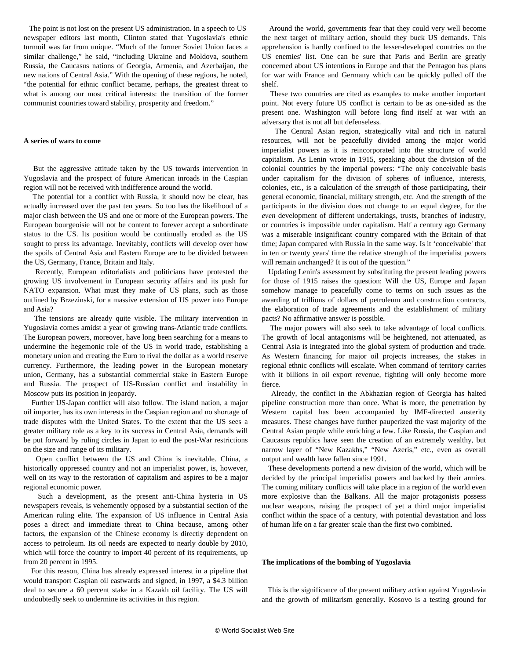The point is not lost on the present US administration. In a speech to US newspaper editors last month, Clinton stated that Yugoslavia's ethnic turmoil was far from unique. "Much of the former Soviet Union faces a similar challenge," he said, "including Ukraine and Moldova, southern Russia, the Caucasus nations of Georgia, Armenia, and Azerbaijan, the new nations of Central Asia." With the opening of these regions, he noted, "the potential for ethnic conflict became, perhaps, the greatest threat to what is among our most critical interests: the transition of the former communist countries toward stability, prosperity and freedom."

#### **A series of wars to come**

 But the aggressive attitude taken by the US towards intervention in Yugoslavia and the prospect of future American inroads in the Caspian region will not be received with indifference around the world.

 The potential for a conflict with Russia, it should now be clear, has actually increased over the past ten years. So too has the likelihood of a major clash between the US and one or more of the European powers. The European bourgeoisie will not be content to forever accept a subordinate status to the US. Its position would be continually eroded as the US sought to press its advantage. Inevitably, conflicts will develop over how the spoils of Central Asia and Eastern Europe are to be divided between the US, Germany, France, Britain and Italy.

 Recently, European editorialists and politicians have protested the growing US involvement in European security affairs and its push for NATO expansion. What must they make of US plans, such as those outlined by Brzezinski, for a massive extension of US power into Europe and Asia?

 The tensions are already quite visible. The military intervention in Yugoslavia comes amidst a year of growing trans-Atlantic trade conflicts. The European powers, moreover, have long been searching for a means to undermine the hegemonic role of the US in world trade, establishing a monetary union and creating the Euro to rival the dollar as a world reserve currency. Furthermore, the leading power in the European monetary union, Germany, has a substantial commercial stake in Eastern Europe and Russia. The prospect of US-Russian conflict and instability in Moscow puts its position in jeopardy.

 Further US-Japan conflict will also follow. The island nation, a major oil importer, has its own interests in the Caspian region and no shortage of trade disputes with the United States. To the extent that the US sees a greater military role as a key to its success in Central Asia, demands will be put forward by ruling circles in Japan to end the post-War restrictions on the size and range of its military.

 Open conflict between the US and China is inevitable. China, a historically oppressed country and not an imperialist power, is, however, well on its way to the restoration of capitalism and aspires to be a major regional economic power.

 Such a development, as the present anti-China hysteria in US newspapers reveals, is vehemently opposed by a substantial section of the American ruling elite. The expansion of US influence in Central Asia poses a direct and immediate threat to China because, among other factors, the expansion of the Chinese economy is directly dependent on access to petroleum. Its oil needs are expected to nearly double by 2010, which will force the country to import 40 percent of its requirements, up from 20 percent in 1995.

 For this reason, China has already expressed interest in a pipeline that would transport Caspian oil eastwards and signed, in 1997, a \$4.3 billion deal to secure a 60 percent stake in a Kazakh oil facility. The US will undoubtedly seek to undermine its activities in this region.

 Around the world, governments fear that they could very well become the next target of military action, should they buck US demands. This apprehension is hardly confined to the lesser-developed countries on the US enemies' list. One can be sure that Paris and Berlin are greatly concerned about US intentions in Europe and that the Pentagon has plans for war with France and Germany which can be quickly pulled off the shelf.

 These two countries are cited as examples to make another important point. Not every future US conflict is certain to be as one-sided as the present one. Washington will before long find itself at war with an adversary that is not all but defenseless.

 The Central Asian region, strategically vital and rich in natural resources, will not be peacefully divided among the major world imperialist powers as it is reincorporated into the structure of world capitalism. As Lenin wrote in 1915, speaking about the division of the colonial countries by the imperial powers: "The only conceivable basis under capitalism for the division of spheres of influence, interests, colonies, etc., is a calculation of the *strength* of those participating, their general economic, financial, military strength, etc. And the strength of the participants in the division does not change to an equal degree, for the *even* development of different undertakings, trusts, branches of industry, or countries is impossible under capitalism. Half a century ago Germany was a miserable insignificant country compared with the Britain of that time; Japan compared with Russia in the same way. Is it 'conceivable' that in ten or twenty years' time the relative strength of the imperialist powers will remain *un*changed? It is out of the question."

 Updating Lenin's assessment by substituting the present leading powers for those of 1915 raises the question: Will the US, Europe and Japan somehow manage to peacefully come to terms on such issues as the awarding of trillions of dollars of petroleum and construction contracts, the elaboration of trade agreements and the establishment of military pacts? No affirmative answer is possible.

 The major powers will also seek to take advantage of local conflicts. The growth of local antagonisms will be heightened, not attenuated, as Central Asia is integrated into the global system of production and trade. As Western financing for major oil projects increases, the stakes in regional ethnic conflicts will escalate. When command of territory carries with it billions in oil export revenue, fighting will only become more fierce.

 Already, the conflict in the Abkhazian region of Georgia has halted pipeline construction more than once. What is more, the penetration by Western capital has been accompanied by IMF-directed austerity measures. These changes have further pauperized the vast majority of the Central Asian people while enriching a few. Like Russia, the Caspian and Caucasus republics have seen the creation of an extremely wealthy, but narrow layer of "New Kazakhs," "New Azeris," etc., even as overall output and wealth have fallen since 1991.

 These developments portend a new division of the world, which will be decided by the principal imperialist powers and backed by their armies. The coming military conflicts will take place in a region of the world even more explosive than the Balkans. All the major protagonists possess nuclear weapons, raising the prospect of yet a third major imperialist conflict within the space of a century, with potential devastation and loss of human life on a far greater scale than the first two combined.

#### **The implications of the bombing of Yugoslavia**

 This is the significance of the present military action against Yugoslavia and the growth of militarism generally. Kosovo is a testing ground for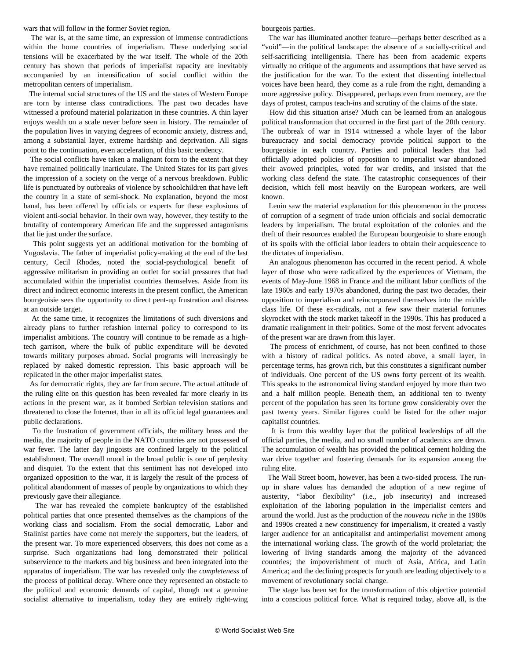wars that will follow in the former Soviet region.

 The war is, at the same time, an expression of immense contradictions within the home countries of imperialism. These underlying social tensions will be exacerbated by the war itself. The whole of the 20th century has shown that periods of imperialist rapacity are inevitably accompanied by an intensification of social conflict within the metropolitan centers of imperialism.

 The internal social structures of the US and the states of Western Europe are torn by intense class contradictions. The past two decades have witnessed a profound material polarization in these countries. A thin layer enjoys wealth on a scale never before seen in history. The remainder of the population lives in varying degrees of economic anxiety, distress and, among a substantial layer, extreme hardship and deprivation. All signs point to the continuation, even acceleration, of this basic tendency.

 The social conflicts have taken a malignant form to the extent that they have remained politically inarticulate. The United States for its part gives the impression of a society on the verge of a nervous breakdown. Public life is punctuated by outbreaks of violence by schoolchildren that have left the country in a state of semi-shock. No explanation, beyond the most banal, has been offered by officials or experts for these explosions of violent anti-social behavior. In their own way, however, they testify to the brutality of contemporary American life and the suppressed antagonisms that lie just under the surface.

 This point suggests yet an additional motivation for the bombing of Yugoslavia. The father of imperialist policy-making at the end of the last century, Cecil Rhodes, noted the social-psychological benefit of aggressive militarism in providing an outlet for social pressures that had accumulated within the imperialist countries themselves. Aside from its direct and indirect economic interests in the present conflict, the American bourgeoisie sees the opportunity to direct pent-up frustration and distress at an outside target.

 At the same time, it recognizes the limitations of such diversions and already plans to further refashion internal policy to correspond to its imperialist ambitions. The country will continue to be remade as a hightech garrison, where the bulk of public expenditure will be devoted towards military purposes abroad. Social programs will increasingly be replaced by naked domestic repression. This basic approach will be replicated in the other major imperialist states.

 As for democratic rights, they are far from secure. The actual attitude of the ruling elite on this question has been revealed far more clearly in its actions in the present war, as it bombed Serbian television stations and threatened to close the Internet, than in all its official legal guarantees and public declarations.

 To the frustration of government officials, the military brass and the media, the majority of people in the NATO countries are not possessed of war fever. The latter day jingoists are confined largely to the political establishment. The overall mood in the broad public is one of perplexity and disquiet. To the extent that this sentiment has not developed into organized opposition to the war, it is largely the result of the process of political abandonment of masses of people by organizations to which they previously gave their allegiance.

 The war has revealed the complete bankruptcy of the established political parties that once presented themselves as the champions of the working class and socialism. From the social democratic, Labor and Stalinist parties have come not merely the supporters, but the leaders, of the present war. To more experienced observers, this does not come as a surprise. Such organizations had long demonstrated their political subservience to the markets and big business and been integrated into the apparatus of imperialism. The war has revealed only the *completeness* of the process of political decay. Where once they represented an obstacle to the political and economic demands of capital, though not a genuine socialist alternative to imperialism, today they are entirely right-wing bourgeois parties.

 The war has illuminated another feature—perhaps better described as a "void"—in the political landscape: the absence of a socially-critical and self-sacrificing intelligentsia. There has been from academic experts virtually no critique of the arguments and assumptions that have served as the justification for the war. To the extent that dissenting intellectual voices have been heard, they come as a rule from the right, demanding a more aggressive policy. Disappeared, perhaps even from memory, are the days of protest, campus teach-ins and scrutiny of the claims of the state.

 How did this situation arise? Much can be learned from an analogous political transformation that occurred in the first part of the 20th century. The outbreak of war in 1914 witnessed a whole layer of the labor bureaucracy and social democracy provide political support to the bourgeoisie in each country. Parties and political leaders that had officially adopted policies of opposition to imperialist war abandoned their avowed principles, voted for war credits, and insisted that the working class defend the state. The catastrophic consequences of their decision, which fell most heavily on the European workers, are well known.

 Lenin saw the material explanation for this phenomenon in the process of corruption of a segment of trade union officials and social democratic leaders by imperialism. The brutal exploitation of the colonies and the theft of their resources enabled the European bourgeoisie to share enough of its spoils with the official labor leaders to obtain their acquiescence to the dictates of imperialism.

 An analogous phenomenon has occurred in the recent period. A whole layer of those who were radicalized by the experiences of Vietnam, the events of May-June 1968 in France and the militant labor conflicts of the late 1960s and early 1970s abandoned, during the past two decades, their opposition to imperialism and reincorporated themselves into the middle class life. Of these ex-radicals, not a few saw their material fortunes skyrocket with the stock market takeoff in the 1990s. This has produced a dramatic realignment in their politics. Some of the most fervent advocates of the present war are drawn from this layer.

 The process of enrichment, of course, has not been confined to those with a history of radical politics. As noted above, a small layer, in percentage terms, has grown rich, but this constitutes a significant number of individuals. One percent of the US owns forty percent of its wealth. This speaks to the astronomical living standard enjoyed by more than two and a half million people. Beneath them, an additional ten to twenty percent of the population has seen its fortune grow considerably over the past twenty years. Similar figures could be listed for the other major capitalist countries.

 It is from this wealthy layer that the political leaderships of all the official parties, the media, and no small number of academics are drawn. The accumulation of wealth has provided the political cement holding the war drive together and fostering demands for its expansion among the ruling elite.

 The Wall Street boom, however, has been a two-sided process. The runup in share values has demanded the adoption of a new regime of austerity, "labor flexibility" (i.e., job insecurity) and increased exploitation of the laboring population in the imperialist centers and around the world. Just as the production of the *nouveau riche* in the 1980s and 1990s created a new constituency for imperialism, it created a vastly larger audience for an anticapitalist and antimperialist movement among the international working class. The growth of the world proletariat; the lowering of living standards among the majority of the advanced countries; the impoverishment of much of Asia, Africa, and Latin America; and the declining prospects for youth are leading objectively to a movement of revolutionary social change.

 The stage has been set for the transformation of this objective potential into a conscious political force. What is required today, above all, is the